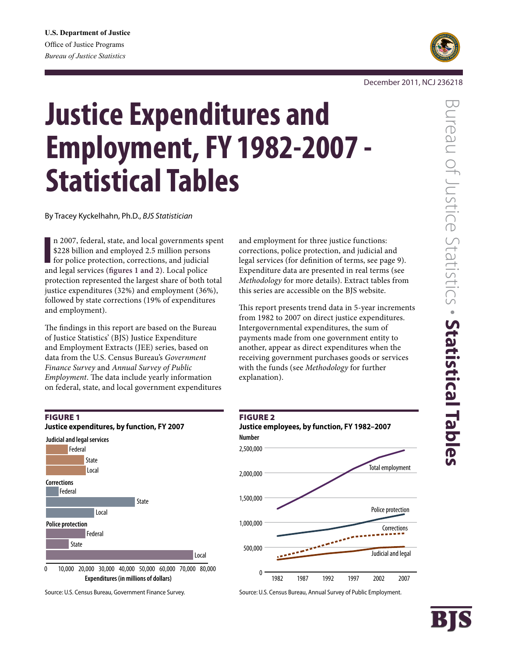

#### December 2011, NCJ 236218

# **Justice Expenditures and Employment, FY 1982-2007 - Statistical Tables**

By Tracey Kyckelhahn, Ph.D., *BJS Statistician*

In 2007, federal, state, and local governments s<br>\$228 billion and employed 2.5 million persons<br>for police protection, corrections, and judicial<br>and legal services (figures 1 and 2). Local police n 2007, federal, state, and local governments spent \$228 billion and employed 2.5 million persons for police protection, corrections, and judicial protection represented the largest share of both total justice expenditures (32%) and employment (36%), followed by state corrections (19% of expenditures and employment).

The findings in this report are based on the Bureau of Justice Statistics' (BJS) Justice Expenditure and Employment Extracts (JEE) series, based on data from the U.S. Census Bureau's *Government Finance Survey* and *Annual Survey of Public Employment*. The data include yearly information on federal, state, and local government expenditures and employment for three justice functions: corrections, police protection, and judicial and legal services (for definition of terms, see page 9). Expenditure data are presented in real terms (see *Methodology* for more details). Extract tables from this series are accessible on the BJS website.

This report presents trend data in 5-year increments from 1982 to 2007 on direct justice expenditures. Intergovernmental expenditures, the sum of payments made from one government entity to another, appear as direct expenditures when the receiving government purchases goods or services with the funds (see *Methodology* for further explanation).



#### Figure 1 **Justice expenditures, by function, FY 2007**



**Expenditures (in millions of dollars)**

Source: U.S. Census Bureau, Government Finance Survey. Source: U.S. Census Bureau, Annual Survey of Public Employment.

BJS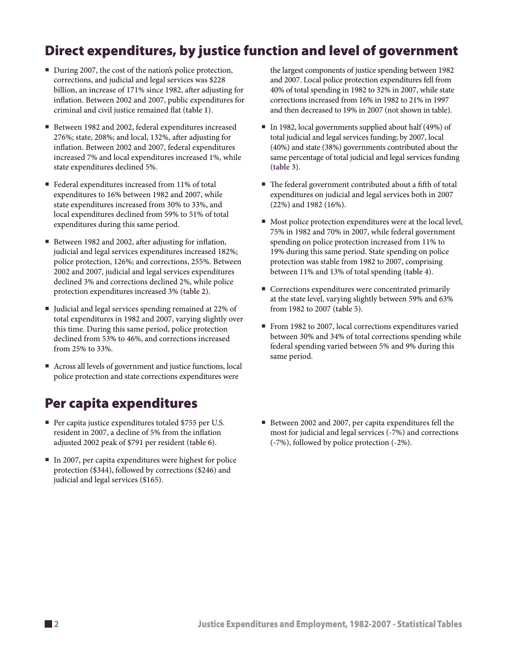# Direct expenditures, by justice function and level of government

- During 2007, the cost of the nation's police protection, corrections, and judicial and legal services was \$228 billion, an increase of 171% since 1982, after adjusting for inflation. Between 2002 and 2007, public expenditures for criminal and civil justice remained flat **(table 1)**.
- Between 1982 and 2002, federal expenditures increased 276%; state, 208%; and local, 132%, after adjusting for inflation. Between 2002 and 2007, federal expenditures increased 7% and local expenditures increased 1%, while state expenditures declined 5%.
- Federal expenditures increased from 11% of total expenditures to 16% between 1982 and 2007, while state expenditures increased from 30% to 33%, and local expenditures declined from 59% to 51% of total expenditures during this same period.
- Between 1982 and 2002, after adjusting for inflation, judicial and legal services expenditures increased 182%; police protection, 126%; and corrections, 255%. Between 2002 and 2007, judicial and legal services expenditures declined 3% and corrections declined 2%, while police protection expenditures increased 3% **(table 2)**.
- Judicial and legal services spending remained at 22% of total expenditures in 1982 and 2007, varying slightly over this time. During this same period, police protection declined from 53% to 46%, and corrections increased from 25% to 33%.
- Across all levels of government and justice functions, local police protection and state corrections expenditures were

## Per capita expenditures

- Per capita justice expenditures totaled \$755 per U.S. resident in 2007, a decline of 5% from the inflation adjusted 2002 peak of \$791 per resident **(table 6)**.
- In 2007, per capita expenditures were highest for police protection (\$344), followed by corrections (\$246) and judicial and legal services (\$165).

the largest components of justice spending between 1982 and 2007. Local police protection expenditures fell from 40% of total spending in 1982 to 32% in 2007, while state corrections increased from 16% in 1982 to 21% in 1997 and then decreased to 19% in 2007 (not shown in table).

- In 1982, local governments supplied about half (49%) of total judicial and legal services funding; by 2007, local (40%) and state (38%) governments contributed about the same percentage of total judicial and legal services funding **(table 3)**.
- The federal government contributed about a fifth of total expenditures on judicial and legal services both in 2007 (22%) and 1982 (16%).
- Most police protection expenditures were at the local level, 75% in 1982 and 70% in 2007, while federal government spending on police protection increased from 11% to 19% during this same period. State spending on police protection was stable from 1982 to 2007, comprising between 11% and 13% of total spending **(table 4)**.
- Corrections expenditures were concentrated primarily at the state level, varying slightly between 59% and 63% from 1982 to 2007 **(table 5)**.
- From 1982 to 2007, local corrections expenditures varied between 30% and 34% of total corrections spending while federal spending varied between 5% and 9% during this same period.
- Between 2002 and 2007, per capita expenditures fell the most for judicial and legal services (-7%) and corrections (-7%), followed by police protection (-2%).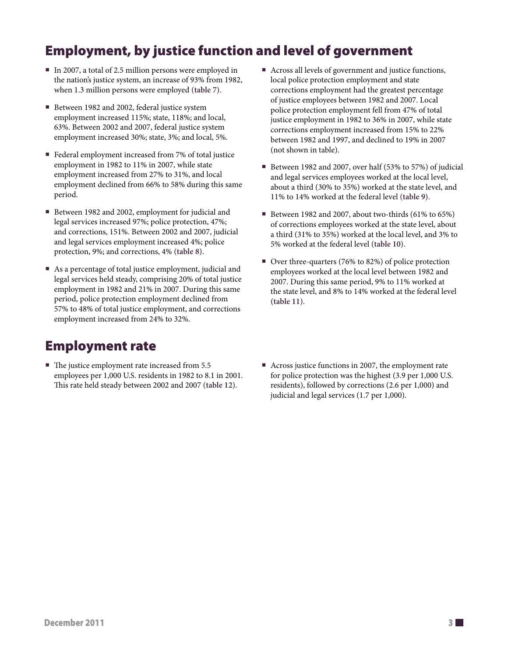# Employment, by justice function and level of government

- In 2007, a total of 2.5 million persons were employed in the nation's justice system, an increase of 93% from 1982, when 1.3 million persons were employed **(table 7)**.
- Between 1982 and 2002, federal justice system employment increased 115%; state, 118%; and local, 63%. Between 2002 and 2007, federal justice system employment increased 30%; state, 3%; and local, 5%.
- Federal employment increased from 7% of total justice employment in 1982 to 11% in 2007, while state employment increased from 27% to 31%, and local employment declined from 66% to 58% during this same period.
- Between 1982 and 2002, employment for judicial and legal services increased 97%; police protection, 47%; and corrections, 151%. Between 2002 and 2007, judicial and legal services employment increased 4%; police protection, 9%; and corrections, 4% **(table 8)**.
- As a percentage of total justice employment, judicial and legal services held steady, comprising 20% of total justice employment in 1982 and 21% in 2007. During this same period, police protection employment declined from 57% to 48% of total justice employment, and corrections employment increased from 24% to 32%.

## Employment rate

■ The justice employment rate increased from 5.5 employees per 1,000 U.S. residents in 1982 to 8.1 in 2001. This rate held steady between 2002 and 2007 **(table 12)**.

- Across all levels of government and justice functions, local police protection employment and state corrections employment had the greatest percentage of justice employees between 1982 and 2007. Local police protection employment fell from 47% of total justice employment in 1982 to 36% in 2007, while state corrections employment increased from 15% to 22% between 1982 and 1997, and declined to 19% in 2007 (not shown in table).
- Between 1982 and 2007, over half (53% to 57%) of judicial and legal services employees worked at the local level, about a third (30% to 35%) worked at the state level, and 11% to 14% worked at the federal level **(table 9)**.
- Between 1982 and 2007, about two-thirds (61% to 65%) of corrections employees worked at the state level, about a third (31% to 35%) worked at the local level, and 3% to 5% worked at the federal level **(table 10)**.
- Over three-quarters (76% to 82%) of police protection employees worked at the local level between 1982 and 2007. During this same period, 9% to 11% worked at the state level, and 8% to 14% worked at the federal level **(table 11)**.
- Across justice functions in 2007, the employment rate for police protection was the highest (3.9 per 1,000 U.S. residents), followed by corrections (2.6 per 1,000) and judicial and legal services (1.7 per 1,000).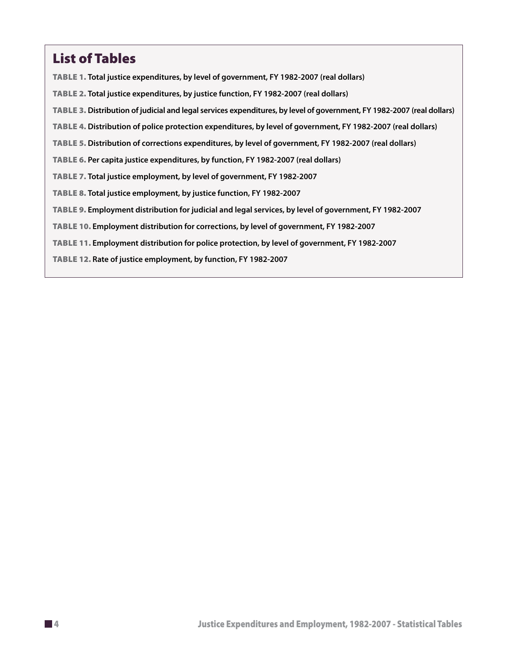# List of Tables

Table 1. **Total justice expenditures, by level of government, FY 1982-2007 (real dollars)**

Table 2. **Total justice expenditures, by justice function, FY 1982-2007 (real dollars)**

Table 3. **Distribution of judicial and legal services expenditures, by level of government, FY 1982-2007 (real dollars)**

Table 4. **Distribution of police protection expenditures, by level of government, FY 1982-2007 (real dollars)**

Table 5. **Distribution of corrections expenditures, by level of government, FY 1982-2007 (real dollars)**

Table 6. **Per capita justice expenditures, by function, FY 1982-2007 (real dollars)** 

Table 7. **Total justice employment, by level of government, FY 1982-2007**

Table 8. **Total justice employment, by justice function, FY 1982-2007**

Table 9. **Employment distribution for judicial and legal services, by level of government, FY 1982-2007**

Table 10. **Employment distribution for corrections, by level of government, FY 1982-2007**

Table 11. **Employment distribution for police protection, by level of government, FY 1982-2007**

Table 12. **Rate of justice employment, by function, FY 1982-2007**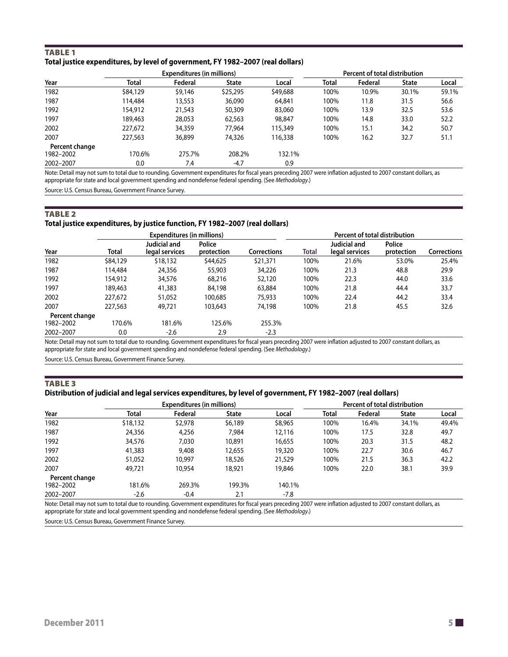## **TABLE 1 Total justice expenditures, by level of government, FY 1982–2007 (real dollars)**

|                                                                                                                                                               |          | <b>Expenditures (in millions)</b> |              |          | Percent of total distribution |         |              |       |  |
|---------------------------------------------------------------------------------------------------------------------------------------------------------------|----------|-----------------------------------|--------------|----------|-------------------------------|---------|--------------|-------|--|
| Year                                                                                                                                                          | Total    | Federal                           | <b>State</b> | Local    | Total                         | Federal | <b>State</b> | Local |  |
| 1982                                                                                                                                                          | \$84,129 | \$9,146                           | \$25,295     | \$49,688 | 100%                          | 10.9%   | 30.1%        | 59.1% |  |
| 1987                                                                                                                                                          | 114,484  | 13,553                            | 36,090       | 64,841   | 100%                          | 11.8    | 31.5         | 56.6  |  |
| 1992                                                                                                                                                          | 154,912  | 21,543                            | 50,309       | 83,060   | 100%                          | 13.9    | 32.5         | 53.6  |  |
| 1997                                                                                                                                                          | 189,463  | 28,053                            | 62,563       | 98,847   | 100%                          | 14.8    | 33.0         | 52.2  |  |
| 2002                                                                                                                                                          | 227,672  | 34,359                            | 77.964       | 115,349  | 100%                          | 15.1    | 34.2         | 50.7  |  |
| 2007                                                                                                                                                          | 227,563  | 36,899                            | 74,326       | 116,338  | 100%                          | 16.2    | 32.7         | 51.1  |  |
| Percent change                                                                                                                                                |          |                                   |              |          |                               |         |              |       |  |
| 1982-2002                                                                                                                                                     | 170.6%   | 275.7%                            | 208.2%       | 132.1%   |                               |         |              |       |  |
| 2002-2007                                                                                                                                                     | 0.0      | 7.4                               | $-4.7$       | 0.9      |                               |         |              |       |  |
| Note Detail may not sum to total due to reunding Covernment evanglitures for fiscal vears preseding 2007 were inflation adjusted to 2007 constant dellars, as |          |                                   |              |          |                               |         |              |       |  |

Note: Detail may not sum to total due to rounding. Government expenditures for fiscal years preceding 2007 were inflation adjusted to 2007 constant dollars, as appropriate for state and local government spending and nondefense federal spending. (See *Methodology*.)

Source: U.S. Census Bureau, Government Finance Survey.

#### Table 2

#### **Total justice expenditures, by justice function, FY 1982–2007 (real dollars)**

|                |          | <b>Expenditures (in millions)</b> |                      |                    | Percent of total distribution |                                       |                      |                    |  |  |
|----------------|----------|-----------------------------------|----------------------|--------------------|-------------------------------|---------------------------------------|----------------------|--------------------|--|--|
| Year           | Total    | Judicial and<br>legal services    | Police<br>protection | <b>Corrections</b> | Total                         | <b>Judicial and</b><br>legal services | Police<br>protection | <b>Corrections</b> |  |  |
| 1982           | \$84,129 | \$18,132                          | \$44,625             | \$21,371           | 100%                          | 21.6%                                 | 53.0%                | 25.4%              |  |  |
| 1987           | 114,484  | 24,356                            | 55,903               | 34,226             | 100%                          | 21.3                                  | 48.8                 | 29.9               |  |  |
| 1992           | 154,912  | 34,576                            | 68,216               | 52,120             | 100%                          | 22.3                                  | 44.0                 | 33.6               |  |  |
| 1997           | 189,463  | 41,383                            | 84,198               | 63,884             | 100%                          | 21.8                                  | 44.4                 | 33.7               |  |  |
| 2002           | 227,672  | 51,052                            | 100.685              | 75,933             | 100%                          | 22.4                                  | 44.2                 | 33.4               |  |  |
| 2007           | 227.563  | 49.721                            | 103,643              | 74,198             | 100%                          | 21.8                                  | 45.5                 | 32.6               |  |  |
| Percent change |          |                                   |                      |                    |                               |                                       |                      |                    |  |  |
| 1982-2002      | 170.6%   | 181.6%                            | 125.6%               | 255.3%             |                               |                                       |                      |                    |  |  |
| 2002-2007      | 0.0      | $-2.6$                            | 2.9                  | $-2.3$             |                               |                                       |                      |                    |  |  |

Note: Detail may not sum to total due to rounding. Government expenditures for fiscal years preceding 2007 were inflation adjusted to 2007 constant dollars, as appropriate for state and local government spending and nondefense federal spending. (See *Methodology*.)

Source: U.S. Census Bureau, Government Finance Survey.

#### **TABLE 3 Distribution of judicial and legal services expenditures, by level of government, FY 1982–2007 (real dollars)**

|                                                                                                                 |          | <b>Expenditures (in millions)</b> |              |         | Percent of total distribution |         |              |       |  |
|-----------------------------------------------------------------------------------------------------------------|----------|-----------------------------------|--------------|---------|-------------------------------|---------|--------------|-------|--|
| Year                                                                                                            | Total    | Federal                           | <b>State</b> | Local   | Total                         | Federal | <b>State</b> | Local |  |
| 1982                                                                                                            | \$18,132 | \$2,978                           | \$6,189      | \$8,965 | 100%                          | 16.4%   | 34.1%        | 49.4% |  |
| 1987                                                                                                            | 24,356   | 4.256                             | 7.984        | 12,116  | 100%                          | 17.5    | 32.8         | 49.7  |  |
| 1992                                                                                                            | 34,576   | 7.030                             | 10.891       | 16,655  | 100%                          | 20.3    | 31.5         | 48.2  |  |
| 1997                                                                                                            | 41,383   | 9,408                             | 12,655       | 19,320  | 100%                          | 22.7    | 30.6         | 46.7  |  |
| 2002                                                                                                            | 51,052   | 10,997                            | 18,526       | 21,529  | 100%                          | 21.5    | 36.3         | 42.2  |  |
| 2007                                                                                                            | 49.721   | 10.954                            | 18.921       | 19,846  | 100%                          | 22.0    | 38.1         | 39.9  |  |
| Percent change                                                                                                  |          |                                   |              |         |                               |         |              |       |  |
| 1982-2002                                                                                                       | 181.6%   | 269.3%                            | 199.3%       | 140.1%  |                               |         |              |       |  |
| 2002-2007                                                                                                       | -2.6     | $-0.4$                            | 2.1          | $-7.8$  |                               |         |              |       |  |
| NE DI SALAM SERIES SERIES DE LA PROVINCIA DE LA PRODUCTIVA DE LA PRODUCTIVA DE LA PRODUCTIVA DE LA PRODUCTIVA D |          |                                   |              |         |                               |         |              |       |  |

Note: Detail may not sum to total due to rounding. Government expenditures for fiscal years preceding 2007 were inflation adjusted to 2007 constant dollars, as appropriate for state and local government spending and nondefense federal spending. (See *Methodology*.)

Source: U.S. Census Bureau, Government Finance Survey.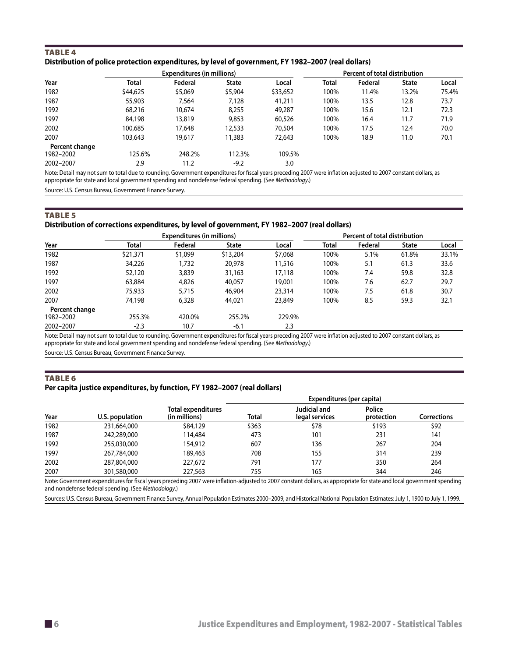## **TABLE 4 Distribution of police protection expenditures, by level of government, FY 1982–2007 (real dollars)**

|                                                                                                                                                          |              | <b>Expenditures (in millions)</b> |         |          | Percent of total distribution |         |       |       |  |
|----------------------------------------------------------------------------------------------------------------------------------------------------------|--------------|-----------------------------------|---------|----------|-------------------------------|---------|-------|-------|--|
| Year                                                                                                                                                     | <b>Total</b> | Federal                           | State   | Local    | <b>Total</b>                  | Federal | State | Local |  |
| 1982                                                                                                                                                     | \$44,625     | \$5,069                           | \$5,904 | \$33,652 | 100%                          | 11.4%   | 13.2% | 75.4% |  |
| 1987                                                                                                                                                     | 55,903       | 7.564                             | 7.128   | 41,211   | 100%                          | 13.5    | 12.8  | 73.7  |  |
| 1992                                                                                                                                                     | 68,216       | 10,674                            | 8.255   | 49.287   | 100%                          | 15.6    | 12.1  | 72.3  |  |
| 1997                                                                                                                                                     | 84,198       | 13,819                            | 9,853   | 60,526   | 100%                          | 16.4    | 11.7  | 71.9  |  |
| 2002                                                                                                                                                     | 100.685      | 17.648                            | 12,533  | 70,504   | 100%                          | 17.5    | 12.4  | 70.0  |  |
| 2007                                                                                                                                                     | 103,643      | 19,617                            | 11,383  | 72,643   | 100%                          | 18.9    | 11.0  | 70.1  |  |
| Percent change                                                                                                                                           |              |                                   |         |          |                               |         |       |       |  |
| 1982-2002                                                                                                                                                | 125.6%       | 248.2%                            | 112.3%  | 109.5%   |                               |         |       |       |  |
| 2002-2007                                                                                                                                                | 2.9          | 11.2                              | $-9.2$  | 3.0      |                               |         |       |       |  |
| Neter Detail married and textel ducte according Carenous and amenditure for facel many mass disc 2007 may inflation adjusted to 2007 accepted to Hang as |              |                                   |         |          |                               |         |       |       |  |

Note: Detail may not sum to total due to rounding. Government expenditures for fiscal years preceding 2007 were inflation adjusted to 2007 constant dollars, as appropriate for state and local government spending and nondefense federal spending. (See *Methodology*.)

Source: U.S. Census Bureau, Government Finance Survey.

#### Table 5

#### **Distribution of corrections expenditures, by level of government, FY 1982–2007 (real dollars)**

|                |              | <b>Expenditures (in millions)</b> |              | Percent of total distribution |              |         |              |       |
|----------------|--------------|-----------------------------------|--------------|-------------------------------|--------------|---------|--------------|-------|
| Year           | <b>Total</b> | Federal                           | <b>State</b> | Local                         | <b>Total</b> | Federal | <b>State</b> | Local |
| 1982           | \$21,371     | \$1,099                           | \$13,204     | \$7,068                       | 100%         | 5.1%    | 61.8%        | 33.1% |
| 1987           | 34,226       | .732                              | 20,978       | 11,516                        | 100%         | 5.1     | 61.3         | 33.6  |
| 1992           | 52,120       | 3,839                             | 31,163       | 17,118                        | 100%         | 7.4     | 59.8         | 32.8  |
| 1997           | 63,884       | 4,826                             | 40.057       | 19.001                        | 100%         | 7.6     | 62.7         | 29.7  |
| 2002           | 75,933       | 5.715                             | 46,904       | 23,314                        | 100%         | 7.5     | 61.8         | 30.7  |
| 2007           | 74,198       | 6,328                             | 44,021       | 23,849                        | 100%         | 8.5     | 59.3         | 32.1  |
| Percent change |              |                                   |              |                               |              |         |              |       |
| 1982-2002      | 255.3%       | 420.0%                            | 255.2%       | 229.9%                        |              |         |              |       |
| 2002-2007      | $-2.3$       | 10.7                              | $-6.7$       | 2.3                           |              |         |              |       |

Note: Detail may not sum to total due to rounding. Government expenditures for fiscal years preceding 2007 were inflation adjusted to 2007 constant dollars, as appropriate for state and local government spending and nondefense federal spending. (See *Methodology*.)

Source: U.S. Census Bureau, Government Finance Survey.

## Table 6

#### **Per capita justice expenditures, by function, FY 1982–2007 (real dollars)**

|      |                 |                                     | Expenditures (per capita) |                                |                      |                    |  |  |  |  |
|------|-----------------|-------------------------------------|---------------------------|--------------------------------|----------------------|--------------------|--|--|--|--|
| Year | U.S. population | Total expenditures<br>(in millions) | Total                     | Judicial and<br>legal services | Police<br>protection | <b>Corrections</b> |  |  |  |  |
| 1982 | 231,664,000     | \$84,129                            | \$363                     | \$78                           | \$193                | \$92               |  |  |  |  |
| 1987 | 242,289,000     | 114,484                             | 473                       | 101                            | 231                  | 141                |  |  |  |  |
| 1992 | 255,030,000     | 154,912                             | 607                       | 136                            | 267                  | 204                |  |  |  |  |
| 1997 | 267,784,000     | 189,463                             | 708                       | 155                            | 314                  | 239                |  |  |  |  |
| 2002 | 287,804,000     | 227,672                             | 791                       | 177                            | 350                  | 264                |  |  |  |  |
| 2007 | 301,580,000     | 227,563                             | 755                       | 165                            | 344                  | 246                |  |  |  |  |

Note: Government expenditures for fiscal years preceding 2007 were inflation-adjusted to 2007 constant dollars, as appropriate for state and local government spending and nondefense federal spending. (See *Methodology*.)

Sources: U.S. Census Bureau, Government Finance Survey, Annual Population Estimates 2000–2009, and Historical National Population Estimates: July 1, 1900 to July 1, 1999.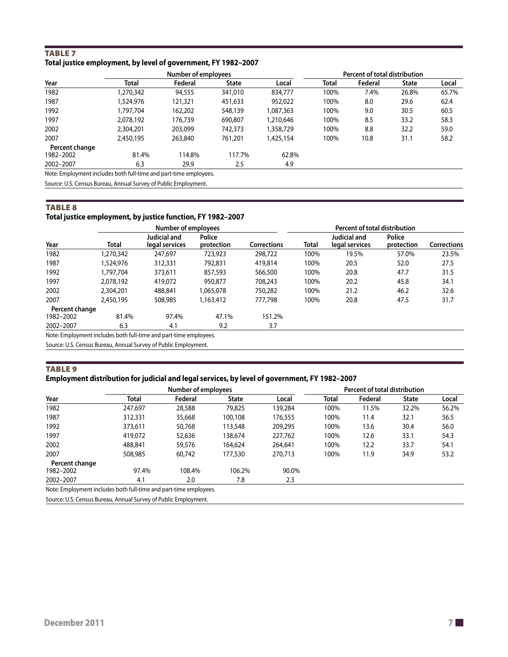#### TABLE<sub>7</sub> **Total justice employment, by level of government, FY 1982–2007**

|                                                                   |              | Number of employees |              |           | Percent of total distribution |         |       |       |  |
|-------------------------------------------------------------------|--------------|---------------------|--------------|-----------|-------------------------------|---------|-------|-------|--|
| Year                                                              | <b>Total</b> | Federal             | <b>State</b> | Local     | Total                         | Federal | State | Local |  |
| 1982                                                              | 1,270,342    | 94,555              | 341,010      | 834,777   | 100%                          | 7.4%    | 26.8% | 65.7% |  |
| 1987                                                              | 1.524.976    | 121,321             | 451,633      | 952,022   | 100%                          | 8.0     | 29.6  | 62.4  |  |
| 1992                                                              | 1.797.704    | 162,202             | 548,139      | 1,087,363 | 100%                          | 9.0     | 30.5  | 60.5  |  |
| 1997                                                              | 2,078,192    | 176,739             | 690,807      | 1,210,646 | 100%                          | 8.5     | 33.2  | 58.3  |  |
| 2002                                                              | 2,304,201    | 203,099             | 742,373      | 1,358,729 | 100%                          | 8.8     | 32.2  | 59.0  |  |
| 2007                                                              | 2,450,195    | 263,840             | 761,201      | 1,425,154 | 100%                          | 10.8    | 31.1  | 58.2  |  |
| Percent change                                                    |              |                     |              |           |                               |         |       |       |  |
| 1982-2002                                                         | 81.4%        | 114.8%              | 117.7%       | 62.8%     |                               |         |       |       |  |
| 2002-2007                                                         | 6.3          | 29.9                | 2.5          | 4.9       |                               |         |       |       |  |
| Note: Employment includes both full-time and part-time employees. |              |                     |              |           |                               |         |       |       |  |
| Source: U.S. Census Bureau, Annual Survey of Public Employment.   |              |                     |              |           |                               |         |       |       |  |

#### TABLE<sub>8</sub>

#### **Total justice employment, by justice function, FY 1982–2007**

|                |              | <b>Number of employees</b>                                        |                      |                    | Percent of total distribution |                                |                      |                    |  |  |
|----------------|--------------|-------------------------------------------------------------------|----------------------|--------------------|-------------------------------|--------------------------------|----------------------|--------------------|--|--|
| Year           | <b>Total</b> | Judicial and<br>legal services                                    | Police<br>protection | <b>Corrections</b> | <b>Total</b>                  | Judicial and<br>legal services | Police<br>protection | <b>Corrections</b> |  |  |
| 1982           | 1,270,342    | 247.697                                                           | 723,923              | 298,722            | 100%                          | 19.5%                          | 57.0%                | 23.5%              |  |  |
| 1987           | 1,524,976    | 312,331                                                           | 792.831              | 419,814            | 100%                          | 20.5                           | 52.0                 | 27.5               |  |  |
| 1992           | 1.797.704    | 373,611                                                           | 857,593              | 566,500            | 100%                          | 20.8                           | 47.7                 | 31.5               |  |  |
| 1997           | 2.078.192    | 419.072                                                           | 950.877              | 708,243            | 100%                          | 20.2                           | 45.8                 | 34.1               |  |  |
| 2002           | 2,304,201    | 488,841                                                           | 1,065,078            | 750,282            | 100%                          | 21.2                           | 46.2                 | 32.6               |  |  |
| 2007           | 2.450.195    | 508,985                                                           | 1,163,412            | 777.798            | 100%                          | 20.8                           | 47.5                 | 31.7               |  |  |
| Percent change |              |                                                                   |                      |                    |                               |                                |                      |                    |  |  |
| 1982-2002      | 81.4%        | 97.4%                                                             | 47.1%                | 151.2%             |                               |                                |                      |                    |  |  |
| 2002-2007      | 6.3          | 4.1                                                               | 9.2                  | 3.7                |                               |                                |                      |                    |  |  |
|                |              | Note: Employment includes both full-time and part-time employees. |                      |                    |                               |                                |                      |                    |  |  |
|                |              | Source: U.S. Census Bureau, Annual Survey of Public Employment.   |                      |                    |                               |                                |                      |                    |  |  |

## TABLE<sub>9</sub>

## **Employment distribution for judicial and legal services, by level of government, FY 1982–2007**

|                                                                   |         | <b>Number of employees</b> |              |         | Percent of total distribution |         |              |       |  |
|-------------------------------------------------------------------|---------|----------------------------|--------------|---------|-------------------------------|---------|--------------|-------|--|
| Year                                                              | Total   | Federal                    | <b>State</b> | Local   | <b>Total</b>                  | Federal | <b>State</b> | Local |  |
| 1982                                                              | 247.697 | 28,588                     | 79,825       | 139,284 | 100%                          | 11.5%   | 32.2%        | 56.2% |  |
| 1987                                                              | 312,331 | 35,668                     | 100.108      | 176,555 | 100%                          | 11.4    | 32.1         | 56.5  |  |
| 1992                                                              | 373,611 | 50,768                     | 113,548      | 209,295 | 100%                          | 13.6    | 30.4         | 56.0  |  |
| 1997                                                              | 419,072 | 52,636                     | 138,674      | 227.762 | 100%                          | 12.6    | 33.1         | 54.3  |  |
| 2002                                                              | 488,841 | 59,576                     | 164,624      | 264,641 | 100%                          | 12.2    | 33.7         | 54.1  |  |
| 2007                                                              | 508,985 | 60.742                     | 177,530      | 270.713 | 100%                          | 11.9    | 34.9         | 53.2  |  |
| Percent change                                                    |         |                            |              |         |                               |         |              |       |  |
| 1982-2002                                                         | 97.4%   | 108.4%                     | 106.2%       | 90.0%   |                               |         |              |       |  |
| 2002-2007                                                         | 4.1     | 2.0                        | 7.8          | 2.3     |                               |         |              |       |  |
| Note: Employment includes both full-time and part-time employees. |         |                            |              |         |                               |         |              |       |  |
| Source: U.S. Census Bureau, Annual Survey of Public Employment.   |         |                            |              |         |                               |         |              |       |  |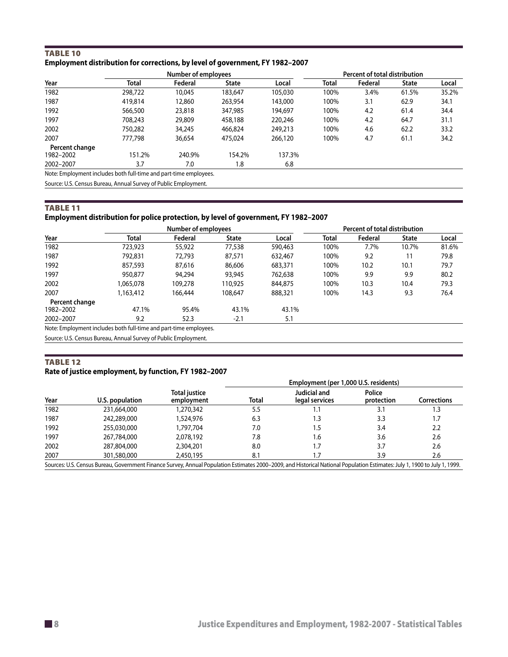#### TABLE 10 **Employment distribution for corrections, by level of government, FY 1982–2007**

|                                                                   |         | Number of employees |              |         | Percent of total distribution |         |              |       |  |
|-------------------------------------------------------------------|---------|---------------------|--------------|---------|-------------------------------|---------|--------------|-------|--|
| Year                                                              | Total   | Federal             | <b>State</b> | Local   | Total                         | Federal | <b>State</b> | Local |  |
| 1982                                                              | 298,722 | 10,045              | 183,647      | 105,030 | 100%                          | 3.4%    | 61.5%        | 35.2% |  |
| 1987                                                              | 419,814 | 12,860              | 263,954      | 143,000 | 100%                          | 3.1     | 62.9         | 34.1  |  |
| 1992                                                              | 566,500 | 23,818              | 347.985      | 194.697 | 100%                          | 4.2     | 61.4         | 34.4  |  |
| 1997                                                              | 708,243 | 29,809              | 458,188      | 220,246 | 100%                          | 4.2     | 64.7         | 31.1  |  |
| 2002                                                              | 750,282 | 34,245              | 466.824      | 249,213 | 100%                          | 4.6     | 62.2         | 33.2  |  |
| 2007                                                              | 777.798 | 36,654              | 475,024      | 266,120 | 100%                          | 4.7     | 61.1         | 34.2  |  |
| Percent change                                                    |         |                     |              |         |                               |         |              |       |  |
| 1982-2002                                                         | 151.2%  | 240.9%              | 154.2%       | 137.3%  |                               |         |              |       |  |
| 2002-2007                                                         | 3.7     | 7.0                 | 1.8          | 6.8     |                               |         |              |       |  |
| Note: Employment includes both full-time and part-time employees. |         |                     |              |         |                               |         |              |       |  |
| Source: U.S. Census Bureau, Annual Survey of Public Employment.   |         |                     |              |         |                               |         |              |       |  |

#### Table 11

#### **Employment distribution for police protection, by level of government, FY 1982–2007**

|                                                                   |           | Number of employees |              |         | Percent of total distribution |         |              |       |  |
|-------------------------------------------------------------------|-----------|---------------------|--------------|---------|-------------------------------|---------|--------------|-------|--|
| Year                                                              | Total     | Federal             | <b>State</b> | Local   | <b>Total</b>                  | Federal | <b>State</b> | Local |  |
| 1982                                                              | 723,923   | 55,922              | 77,538       | 590,463 | 100%                          | 7.7%    | 10.7%        | 81.6% |  |
| 1987                                                              | 792,831   | 72,793              | 87,571       | 632,467 | 100%                          | 9.2     | 11           | 79.8  |  |
| 1992                                                              | 857,593   | 87,616              | 86,606       | 683,371 | 100%                          | 10.2    | 10.1         | 79.7  |  |
| 1997                                                              | 950.877   | 94,294              | 93,945       | 762,638 | 100%                          | 9.9     | 9.9          | 80.2  |  |
| 2002                                                              | 1.065.078 | 109,278             | 110,925      | 844,875 | 100%                          | 10.3    | 10.4         | 79.3  |  |
| 2007                                                              | 1,163,412 | 166,444             | 108,647      | 888,321 | 100%                          | 14.3    | 9.3          | 76.4  |  |
| Percent change                                                    |           |                     |              |         |                               |         |              |       |  |
| 1982-2002                                                         | 47.1%     | 95.4%               | 43.1%        | 43.1%   |                               |         |              |       |  |
| 2002-2007                                                         | 9.2       | 52.3                | $-2.1$       | 5.1     |                               |         |              |       |  |
| Note: Employment includes both full-time and part-time employees. |           |                     |              |         |                               |         |              |       |  |

Source: U.S. Census Bureau, Annual Survey of Public Employment.

#### Table 12

#### **Rate of justice employment, by function, FY 1982–2007**

|      |                                                                                                                                                                            |                                    | Employment (per 1,000 U.S. residents) |                                |                      |                    |  |  |  |
|------|----------------------------------------------------------------------------------------------------------------------------------------------------------------------------|------------------------------------|---------------------------------------|--------------------------------|----------------------|--------------------|--|--|--|
| Year | U.S. population                                                                                                                                                            | <b>Total iustice</b><br>employment | <b>Total</b>                          | Judicial and<br>legal services | Police<br>protection | <b>Corrections</b> |  |  |  |
| 1982 | 231,664,000                                                                                                                                                                | 1,270,342                          | 5.5                                   | IJ                             | 3.1                  | 1.3                |  |  |  |
| 1987 | 242,289,000                                                                                                                                                                | 1,524,976                          | 6.3                                   | 1.3                            | 3.3                  | 1.7                |  |  |  |
| 1992 | 255,030,000                                                                                                                                                                | 1,797,704                          | 7.0                                   | 1.5                            | 3.4                  | 2.2                |  |  |  |
| 1997 | 267,784,000                                                                                                                                                                | 2,078,192                          | 7.8                                   | 1.6                            | 3.6                  | 2.6                |  |  |  |
| 2002 | 287,804,000                                                                                                                                                                | 2,304,201                          | 8.0                                   |                                | 3.7                  | 2.6                |  |  |  |
| 2007 | 301,580,000                                                                                                                                                                | 2,450,195                          | 8.1                                   |                                | 3.9                  | 2.6                |  |  |  |
|      | Sources: U.S. Census Bureau, Government Finance Survey, Annual Population Estimates 2000-2009, and Historical National Population Estimates: July 1, 1900 to July 1, 1999. |                                    |                                       |                                |                      |                    |  |  |  |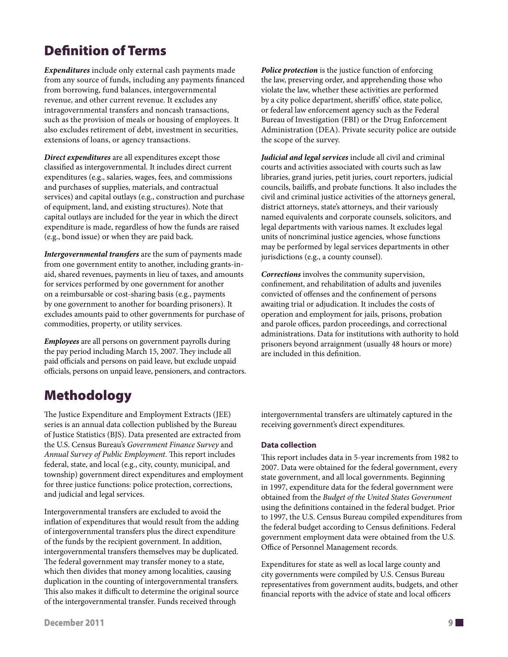# Definition of Terms

*Expenditures* include only external cash payments made from any source of funds, including any payments financed from borrowing, fund balances, intergovernmental revenue, and other current revenue. It excludes any intragovernmental transfers and noncash transactions, such as the provision of meals or housing of employees. It also excludes retirement of debt, investment in securities, extensions of loans, or agency transactions.

*Direct expenditures* are all expenditures except those classified as intergovernmental. It includes direct current expenditures (e.g., salaries, wages, fees, and commissions and purchases of supplies, materials, and contractual services) and capital outlays (e.g., construction and purchase of equipment, land, and existing structures). Note that capital outlays are included for the year in which the direct expenditure is made, regardless of how the funds are raised (e.g., bond issue) or when they are paid back.

*Intergovernmental transfers* are the sum of payments made from one government entity to another, including grants-inaid, shared revenues, payments in lieu of taxes, and amounts for services performed by one government for another on a reimbursable or cost-sharing basis (e.g., payments by one government to another for boarding prisoners). It excludes amounts paid to other governments for purchase of commodities, property, or utility services.

*Employees* are all persons on government payrolls during the pay period including March 15, 2007. They include all paid officials and persons on paid leave, but exclude unpaid officials, persons on unpaid leave, pensioners, and contractors.

# Methodology

The Justice Expenditure and Employment Extracts (JEE) series is an annual data collection published by the Bureau of Justice Statistics (BJS). Data presented are extracted from the U.S. Census Bureau's *Government Finance Survey* and *Annual Survey of Public Employment*. This report includes federal, state, and local (e.g., city, county, municipal, and township) government direct expenditures and employment for three justice functions: police protection, corrections, and judicial and legal services.

Intergovernmental transfers are excluded to avoid the inflation of expenditures that would result from the adding of intergovernmental transfers plus the direct expenditure of the funds by the recipient government. In addition, intergovernmental transfers themselves may be duplicated. The federal government may transfer money to a state, which then divides that money among localities, causing duplication in the counting of intergovernmental transfers. This also makes it difficult to determine the original source of the intergovernmental transfer. Funds received through

*Police protection* is the justice function of enforcing the law, preserving order, and apprehending those who violate the law, whether these activities are performed by a city police department, sheriffs' office, state police, or federal law enforcement agency such as the Federal Bureau of Investigation (FBI) or the Drug Enforcement Administration (DEA). Private security police are outside the scope of the survey.

*Judicial and legal services* include all civil and criminal courts and activities associated with courts such as law libraries, grand juries, petit juries, court reporters, judicial councils, bailiffs, and probate functions. It also includes the civil and criminal justice activities of the attorneys general, district attorneys, state's attorneys, and their variously named equivalents and corporate counsels, solicitors, and legal departments with various names. It excludes legal units of noncriminal justice agencies, whose functions may be performed by legal services departments in other jurisdictions (e.g., a county counsel).

*Corrections* involves the community supervision, confinement, and rehabilitation of adults and juveniles convicted of offenses and the confinement of persons awaiting trial or adjudication. It includes the costs of operation and employment for jails, prisons, probation and parole offices, pardon proceedings, and correctional administrations. Data for institutions with authority to hold prisoners beyond arraignment (usually 48 hours or more) are included in this definition.

intergovernmental transfers are ultimately captured in the receiving government's direct expenditures.

## **Data collection**

This report includes data in 5-year increments from 1982 to 2007. Data were obtained for the federal government, every state government, and all local governments. Beginning in 1997, expenditure data for the federal government were obtained from the *Budget of the United States Government* using the definitions contained in the federal budget. Prior to 1997, the U.S. Census Bureau compiled expenditures from the federal budget according to Census definitions. Federal government employment data were obtained from the U.S. Office of Personnel Management records.

Expenditures for state as well as local large county and city governments were compiled by U.S. Census Bureau representatives from government audits, budgets, and other financial reports with the advice of state and local officers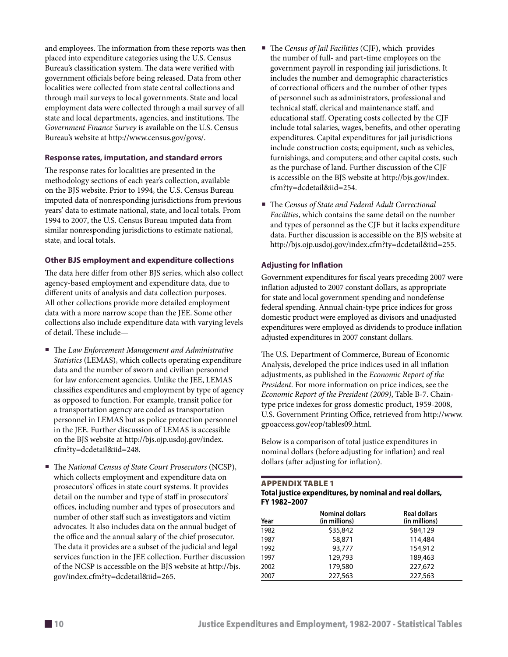and employees. The information from these reports was then placed into expenditure categories using the U.S. Census Bureau's classification system. The data were verified with government officials before being released. Data from other localities were collected from state central collections and through mail surveys to local governments. State and local employment data were collected through a mail survey of all state and local departments, agencies, and institutions. The *Government Finance Survey* is available on the U.S. Census Bureau's website at http://www.census.gov/govs/.

#### **Response rates, imputation, and standard errors**

The response rates for localities are presented in the methodology sections of each year's collection, available on the BJS website. Prior to 1994, the U.S. Census Bureau imputed data of nonresponding jurisdictions from previous years' data to estimate national, state, and local totals. From 1994 to 2007, the U.S. Census Bureau imputed data from similar nonresponding jurisdictions to estimate national, state, and local totals.

#### **Other BJS employment and expenditure collections**

The data here differ from other BJS series, which also collect agency-based employment and expenditure data, due to different units of analysis and data collection purposes. All other collections provide more detailed employment data with a more narrow scope than the JEE. Some other collections also include expenditure data with varying levels of detail. These include—

- The *Law Enforcement Management and Administrative Statistics* (LEMAS), which collects operating expenditure data and the number of sworn and civilian personnel for law enforcement agencies. Unlike the JEE, LEMAS classifies expenditures and employment by type of agency as opposed to function. For example, transit police for a transportation agency are coded as transportation personnel in LEMAS but as police protection personnel in the JEE. Further discussion of LEMAS is accessible on the BJS website at http://bjs.ojp.usdoj.gov/index. cfm?ty=dcdetail&iid=248.
- The *National Census of State Court Prosecutors* (NCSP), which collects employment and expenditure data on prosecutors' offices in state court systems. It provides detail on the number and type of staff in prosecutors' offices, including number and types of prosecutors and number of other staff such as investigators and victim advocates. It also includes data on the annual budget of the office and the annual salary of the chief prosecutor. The data it provides are a subset of the judicial and legal services function in the JEE collection. Further discussion of the NCSP is accessible on the BJS website at http://bjs. gov/index.cfm?ty=dcdetail&iid=265.
- The *Census of Jail Facilities* (CJF), which provides the number of full- and part-time employees on the government payroll in responding jail jurisdictions. It includes the number and demographic characteristics of correctional officers and the number of other types of personnel such as administrators, professional and technical staff, clerical and maintenance staff, and educational staff. Operating costs collected by the CJF include total salaries, wages, benefits, and other operating expenditures. Capital expenditures for jail jurisdictions include construction costs; equipment, such as vehicles, furnishings, and computers; and other capital costs, such as the purchase of land. Further discussion of the CJF is accessible on the BJS website at http://bjs.gov/index. cfm?ty=dcdetail&iid=254.
- The *Census of State and Federal Adult Correctional Facilities*, which contains the same detail on the number and types of personnel as the CJF but it lacks expenditure data. Further discussion is accessible on the BJS website at http://bjs.ojp.usdoj.gov/index.cfm?ty=dcdetail&iid=255.

#### **Adjusting for Inflation**

Government expenditures for fiscal years preceding 2007 were inflation adjusted to 2007 constant dollars, as appropriate for state and local government spending and nondefense federal spending. Annual chain-type price indices for gross domestic product were employed as divisors and unadjusted expenditures were employed as dividends to produce inflation adjusted expenditures in 2007 constant dollars.

The U.S. Department of Commerce, Bureau of Economic Analysis, developed the price indices used in all inflation adjustments, as published in the *Economic Report of the President*. For more information on price indices, see the *Economic Report of the President (2009)*, Table B-7. Chaintype price indexes for gross domestic product, 1959-2008, U.S. Government Printing Office, retrieved from http://www. gpoaccess.gov/eop/tables09.html.

Below is a comparison of total justice expenditures in nominal dollars (before adjusting for inflation) and real dollars (after adjusting for inflation).

## APPENDIX TABLE 1

#### **Total justice expenditures, by nominal and real dollars, FY 1982–2007**

| Year | <b>Nominal dollars</b><br>(in millions) | <b>Real dollars</b><br>(in millions) |
|------|-----------------------------------------|--------------------------------------|
| 1982 | \$35,842                                | \$84,129                             |
| 1987 | 58.871                                  | 114,484                              |
| 1992 | 93.777                                  | 154,912                              |
| 1997 | 129,793                                 | 189,463                              |
| 2002 | 179,580                                 | 227,672                              |
| 2007 | 227,563                                 | 227,563                              |